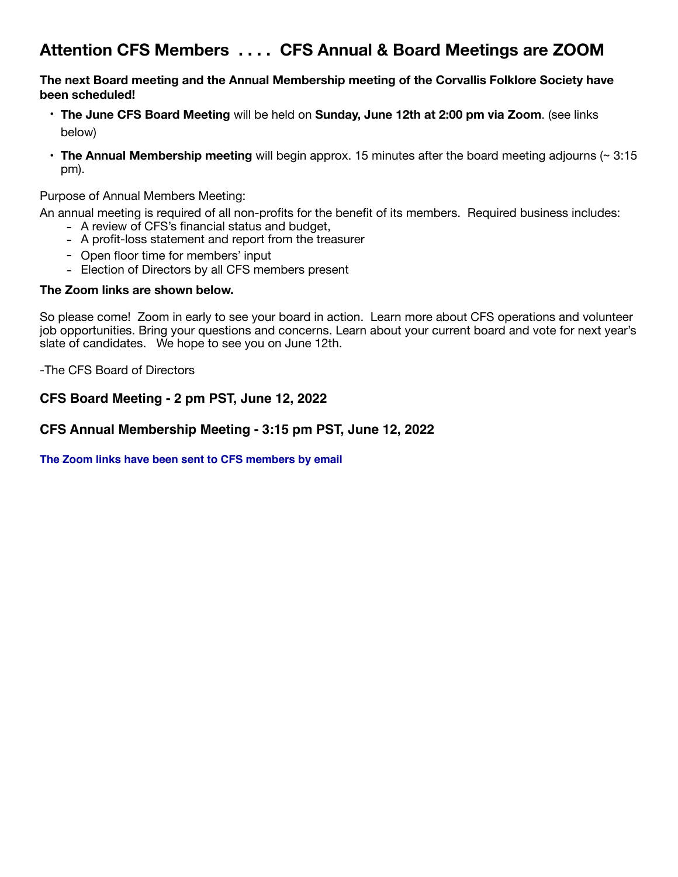## **Attention CFS Members . . . . CFS Annual & Board Meetings are ZOOM**

**The next Board meeting and the Annual Membership meeting of the Corvallis Folklore Society have been scheduled!** 

- **The June CFS Board Meeting** will be held on **Sunday, June 12th at 2:00 pm via Zoom**. (see links below)
- **The Annual Membership meeting** will begin approx. 15 minutes after the board meeting adjourns (~ 3:15 pm).

Purpose of Annual Members Meeting:

An annual meeting is required of all non-profits for the benefit of its members. Required business includes:

- A review of CFS's financial status and budget,
- A profit-loss statement and report from the treasurer
- Open floor time for members' input
- Election of Directors by all CFS members present

#### **The Zoom links are shown below.**

So please come! Zoom in early to see your board in action. Learn more about CFS operations and volunteer job opportunities. Bring your questions and concerns. Learn about your current board and vote for next year's slate of candidates. We hope to see you on June 12th.

-The CFS Board of Directors

#### **CFS Board Meeting - 2 pm PST, June 12, 2022**

#### **CFS Annual Membership Meeting - 3:15 pm PST, June 12, 2022**

**[The Zoom links have been sent to CFS members by email](http://www.apple.com)**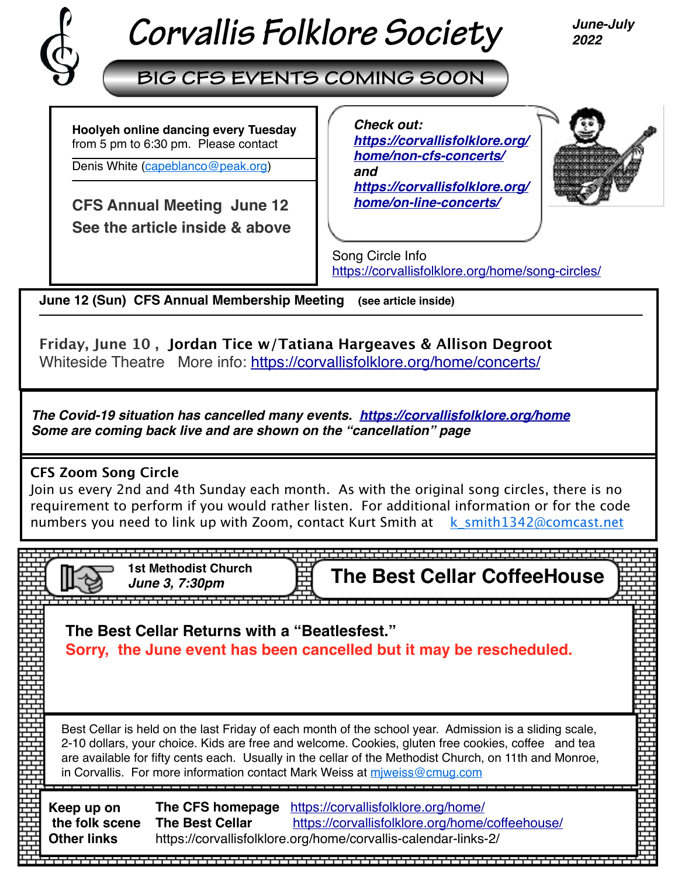

# *Corvallis Folklore Society*

*June-July 2022*

# **BIG CFS EVENTS COMING SOON**

**Hoolyeh online dancing every Tuesday**  from 5 pm to 6:30 pm. Please contact

Denis White [\(capeblanco@peak.org](mailto:capeblanco@peak.org))

**CFS Annual Meeting June 12 See the article inside & above** 

 *[https://corvallisfolklore.org/](https://corvallisfolklore.org/home/on-line-concerts/) Check out: [https://corvallisfolklore.org/](https://corvallisfolklore.org/home/non-cfs-concerts/) [home/non-cfs-concerts/](https://corvallisfolklore.org/home/non-cfs-concerts/) and [home/on-line-concerts/](https://corvallisfolklore.org/home/on-line-concerts/)*



Song Circle Info <https://corvallisfolklore.org/home/song-circles/>

**June 12 (Sun) CFS Annual Membership Meeting (see article inside)** 

**Friday, June 10 , Jordan Tice w/Tatiana Hargeaves & Allison Degroot**  Whiteside Theatre More info: <https://corvallisfolklore.org/home/concerts/>

*The Covid-19 situation has cancelled many events. [https://corvallisfolklore.org/home](https://corvallisfolklore.org/) Some are coming back live and are shown on the "cancellation" page*

## **CFS Zoom Song Circle**

Join us every 2nd and 4th Sunday each month. As with the original song circles, there is no requirement to perform if you would rather listen. For additional information or for the code numbers you need to link up with Zoom, contact Kurt Smith at  $k$  smith1342@comcast.net

> <del>╻┖┎┚┎┖┎┸┎┸┎┸┎┸┎┸┎┸┎┸┰┸┰┸┎┸┎┸┎┸┎┸┎┸┎┸┎┸┎┸</del>┰┸┯┸ *June 3, 7:30pm*

**The Best Cellar CoffeeHouse** 

**The Best Cellar Returns with a "Beatlesfest." Sorry, the June event has been cancelled but it may be rescheduled.** 

Best Cellar is held on the last Friday of each month of the school year. Admission is a sliding scale, 2-10 dollars, your choice. Kids are free and welcome. Cookies, gluten free cookies, coffee and tea are available for fifty cents each. Usually in the cellar of the Methodist Church, on 11th and Monroe, in Corvallis. For more information contact Mark Weiss at [mjweiss@cmug.com](mailto:mjweiss@cmug.com)

**Keep up on the folk scene Other links The CFS homepage** <https://corvallisfolklore.org/home/> **The Best Cellar** <https://corvallisfolklore.org/home/coffeehouse/> https://corvallisfolklore.org/home/corvallis-calendar-links-2/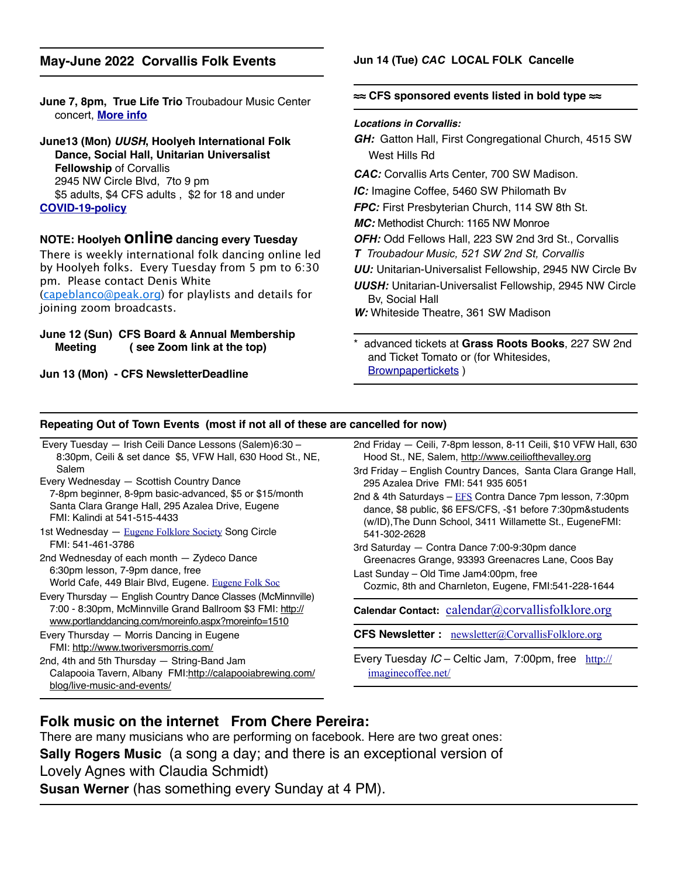#### **May-June 2022 Corvallis Folk Events**

**June 7, 8pm, True Life Trio** Troubadour Music Center concert, **[More info](http://www.truelifetrio.com/performances)**

**June13 (Mon)** *UUSH***, Hoolyeh International Folk Dance, Social Hall, Unitarian Universalist Fellowship** of Corvallis 2945 NW Circle Blvd, 7to 9 pm \$5 adults, \$4 CFS adults , \$2 for 18 and under **[COVID-19-policy](https://corvallisfolklore.org/home/hoolyeh-covid-19-policy/)**

#### **NOTE: Hoolyeh online dancing every Tuesday**

There is weekly international folk dancing online led by Hoolyeh folks. Every Tuesday from 5 pm to 6:30 pm. Please contact Denis White [\(capeblanco@peak.org](mailto:capeblanco@peak.org)) for playlists and details for joining zoom broadcasts.

#### **June 12 (Sun) CFS Board & Annual Membership Meeting ( see Zoom link at the top)**

**Jun 13 (Mon) - CFS NewsletterDeadline**

#### **Jun 14 (Tue)** *CAC* **LOCAL FOLK Cancelle**

#### **≈≈ CFS sponsored events listed in bold type ≈≈**

#### *Locations in Corvallis:*

*GH:* Gatton Hall, First Congregational Church, 4515 SW West Hills Rd

*CAC:* Corvallis Arts Center, 700 SW Madison.

*IC:* Imagine Coffee, 5460 SW Philomath Bv

*FPC:* First Presbyterian Church, 114 SW 8th St.

- *MC:* Methodist Church: 1165 NW Monroe
- *OFH:* Odd Fellows Hall, 223 SW 2nd 3rd St., Corvallis
- *T Troubadour Music, 521 SW 2nd St, Corvallis*

*UU:* Unitarian-Universalist Fellowship, 2945 NW Circle Bv

*UUSH:* Unitarian-Universalist Fellowship, 2945 NW Circle Bv, Social Hall

*W:* Whiteside Theatre, 361 SW Madison

\* advanced tickets at **Grass Roots Books**, 227 SW 2nd and Ticket Tomato or (for Whitesides, [Brownpapertickets](https://www.brownpapertickets.com) )

#### **Repeating Out of Town Events (most if not all of these are cancelled for now)**

- Every Tuesday Irish Ceili Dance Lessons (Salem)6:30 8:30pm, Ceili & set dance \$5, VFW Hall, 630 Hood St., NE, Salem Every Wednesday — Scottish Country Dance 7-8pm beginner, 8-9pm basic-advanced, \$5 or \$15/month Santa Clara Grange Hall, 295 Azalea Drive, Eugene
- FMI: Kalindi at 541-515-4433 1st Wednesday — [Eugene Folklore Society](http://www.eugenefolklore.org) Song Circle
- FMI: 541-461-3786

2nd Wednesday of each month — Zydeco Dance 6:30pm lesson, 7-9pm dance, free World Cafe, 449 Blair Blvd, Eugene. [Eugene Folk Soc](http://www.eugenefolklore.org)

Every Thursday — English Country Dance Classes (McMinnville) 7:00 - 8:30pm, McMinnville Grand Ballroom \$3 FMI: [http://](http://www.portlanddancing.com/moreinfo.aspx?moreinfo=1510) [www.portlanddancing.com/moreinfo.aspx?moreinfo=1510](http://www.portlanddancing.com/moreinfo.aspx?moreinfo=1510)

Every Thursday — Morris Dancing in Eugene FMI: <http://www.tworiversmorris.com/> 2nd, 4th and 5th Thursday — String-Band Jam

Calapooia Tavern, Albany FMI:[http://calapooiabrewing.com/](http://calapooiabrewing.com/blog/live-music-and-events/) [blog/live-music-and-events/](http://calapooiabrewing.com/blog/live-music-and-events/)

- 2nd Friday Ceili, 7-8pm lesson, 8-11 Ceili, \$10 VFW Hall, 630 Hood St., NE, Salem, [http://www.ceiliofthevalley.org](http://www.ceiliofthevalley.org/)
- 3rd Friday English Country Dances, Santa Clara Grange Hall, 295 Azalea Drive FMI: 541 935 6051

2nd & 4th Saturdays  $-$  [EFS](http://www.eugenefolklore.org) Contra Dance 7pm lesson, 7:30pm dance, \$8 public, \$6 EFS/CFS, -\$1 before 7:30pm&students (w/ID),The Dunn School, 3411 Willamette St., EugeneFMI: 541-302-2628

- 3rd Saturday Contra Dance 7:00-9:30pm dance Greenacres Grange, 93393 Greenacres Lane, Coos Bay
- Last Sunday Old Time Jam4:00pm, free Cozmic, 8th and Charnleton, Eugene, FMI:541-228-1644

**Calendar Contact:** [calendar@corvallisfolklore.org](mailto:%20calendar@corvallisfolklore.org)

**CFS Newsletter :** [newsletter@CorvallisFolklore.org](mailto:%20newsletter@CorvallisFolklore.org)

Every Tuesday *IC* – Celtic Jam, 7:00pm, free [http://](http://imaginecoffee.net/) [imaginecoffee.net/](http://imaginecoffee.net/)

## **Folk music on the internet From Chere Pereira:**

There are many musicians who are performing on facebook. Here are two great ones: **Sally Rogers Music** (a song a day; and there is an exceptional version of Lovely Agnes with Claudia Schmidt)

**Susan Werner** (has something every Sunday at 4 PM).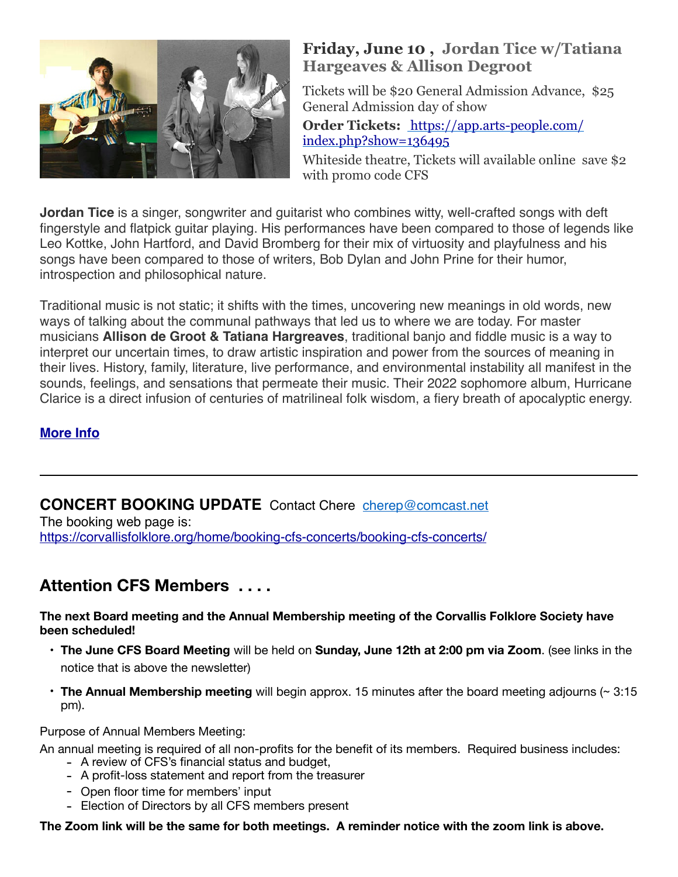

## **Friday, June 10 , Jordan Tice w/Tatiana Hargeaves & Allison Degroot**

Tickets will be \$20 General Admission Advance, \$25 General Admission day of show **Order Tickets:** [https://app.arts-people.com/](https://app.arts-people.com/index.php?show=136495) [index.php?show=136495](https://app.arts-people.com/index.php?show=136495)

Whiteside theatre, Tickets will available online save \$2 with promo code CFS

**Jordan Tice** is a singer, songwriter and guitarist who combines witty, well-crafted songs with deft fingerstyle and flatpick guitar playing. His performances have been compared to those of legends like Leo Kottke, John Hartford, and David Bromberg for their mix of virtuosity and playfulness and his songs have been compared to those of writers, Bob Dylan and John Prine for their humor, introspection and philosophical nature.

Traditional music is not static; it shifts with the times, uncovering new meanings in old words, new ways of talking about the communal pathways that led us to where we are today. For master musicians **Allison de Groot & Tatiana Hargreaves**, traditional banjo and fiddle music is a way to interpret our uncertain times, to draw artistic inspiration and power from the sources of meaning in their lives. History, family, literature, live performance, and environmental instability all manifest in the sounds, feelings, and sensations that permeate their music. Their 2022 sophomore album, Hurricane Clarice is a direct infusion of centuries of matrilineal folk wisdom, a fiery breath of apocalyptic energy.

## **[More Info](https://corvallisfolklore.org/home/de-groot-hargreaves/)**

## **CONCERT BOOKING UPDATE** Contact Chere [cherep@comcast.net](mailto:cherep@comcast.net)

The booking web page is: [https://corvallisfolklore.org/home/booking-cfs-concerts/booking-cfs-concerts/](http://corvallisfolklore.org/home/booking-cfs-concerts/booking-cfs-concerts/)

## **Attention CFS Members . . . .**

**The next Board meeting and the Annual Membership meeting of the Corvallis Folklore Society have been scheduled!** 

- **The June CFS Board Meeting** will be held on **Sunday, June 12th at 2:00 pm via Zoom**. (see links in the notice that is above the newsletter)
- **The Annual Membership meeting** will begin approx. 15 minutes after the board meeting adjourns (~ 3:15 pm).

Purpose of Annual Members Meeting:

An annual meeting is required of all non-profits for the benefit of its members. Required business includes:

- A review of CFS's financial status and budget,
- A profit-loss statement and report from the treasurer
- Open floor time for members' input
- Election of Directors by all CFS members present

**The Zoom link will be the same for both meetings. A reminder notice with the zoom link is above.**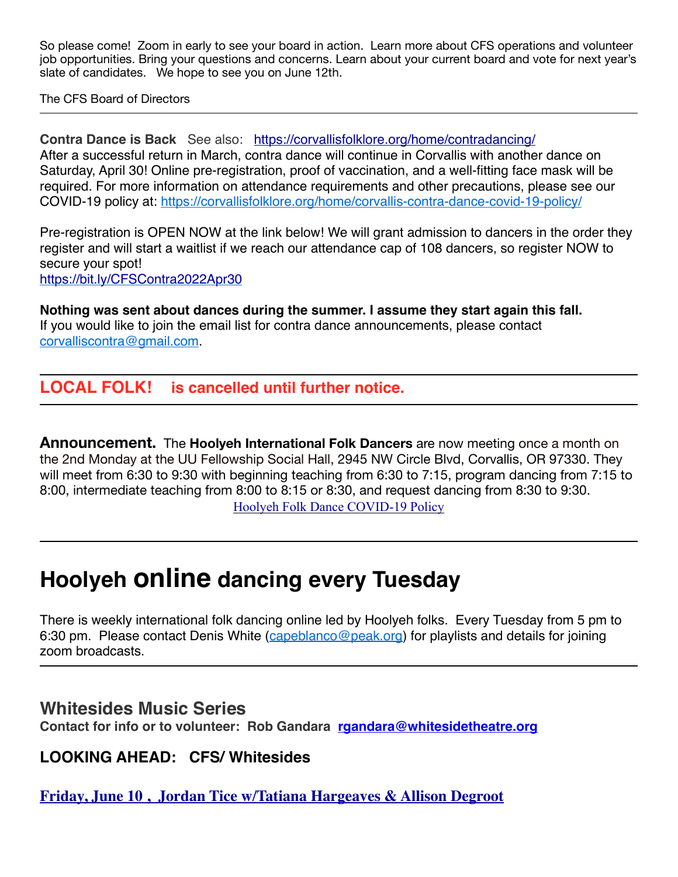So please come! Zoom in early to see your board in action. Learn more about CFS operations and volunteer job opportunities. Bring your questions and concerns. Learn about your current board and vote for next year's slate of candidates. We hope to see you on June 12th.

The CFS Board of Directors

**Contra Dance is Back** See also: <https://corvallisfolklore.org/home/contradancing/> After a successful return in March, contra dance will continue in Corvallis with another dance on Saturday, April 30! Online pre-registration, proof of vaccination, and a well-fitting face mask will be required. For more information on attendance requirements and other precautions, please see our COVID-19 policy at:<https://corvallisfolklore.org/home/corvallis-contra-dance-covid-19-policy/>

Pre-registration is OPEN NOW at the link below! We will grant admission to dancers in the order they register and will start a waitlist if we reach our attendance cap of 108 dancers, so register NOW to secure your spot!

<https://bit.ly/CFSContra2022Apr30>

**Nothing was sent about dances during the summer. I assume they start again this fall.**  If you would like to join the email list for contra dance announcements, please contact [corvalliscontra@gmail.com.](mailto:corvalliscontra@gmail.com) 

## **LOCAL FOLK! is cancelled until further notice.**

**Announcement.** The **Hoolyeh International Folk Dancers** are now meeting once a month on the 2nd Monday at the UU Fellowship Social Hall, 2945 NW Circle Blvd, Corvallis, OR 97330. They will meet from 6:30 to 9:30 with beginning teaching from 6:30 to 7:15, program dancing from 7:15 to 8:00, intermediate teaching from 8:00 to 8:15 or 8:30, and request dancing from 8:30 to 9:30. [Hoolyeh Folk Dance COVID-19 Policy](https://corvallisfolklore.org/home/hoolyeh-covid-19-policy/)

# **Hoolyeh online dancing every Tuesday**

There is weekly international folk dancing online led by Hoolyeh folks. Every Tuesday from 5 pm to 6:30 pm. Please contact Denis White [\(capeblanco@peak.org\)](mailto:capeblanco@peak.org) for playlists and details for joining zoom broadcasts.

**Whitesides Music Series** 

**Contact for info or to volunteer: Rob Gandara [rgandara@whitesidetheatre.org](mailto:rgandara@whitesidetheatre.org)**

**LOOKING AHEAD: CFS/ Whitesides** 

**[Friday, June 10 , Jordan Tice w/Tatiana Hargeaves & Allison Degroot](https://corvallisfolklore.org/home/concerts/)**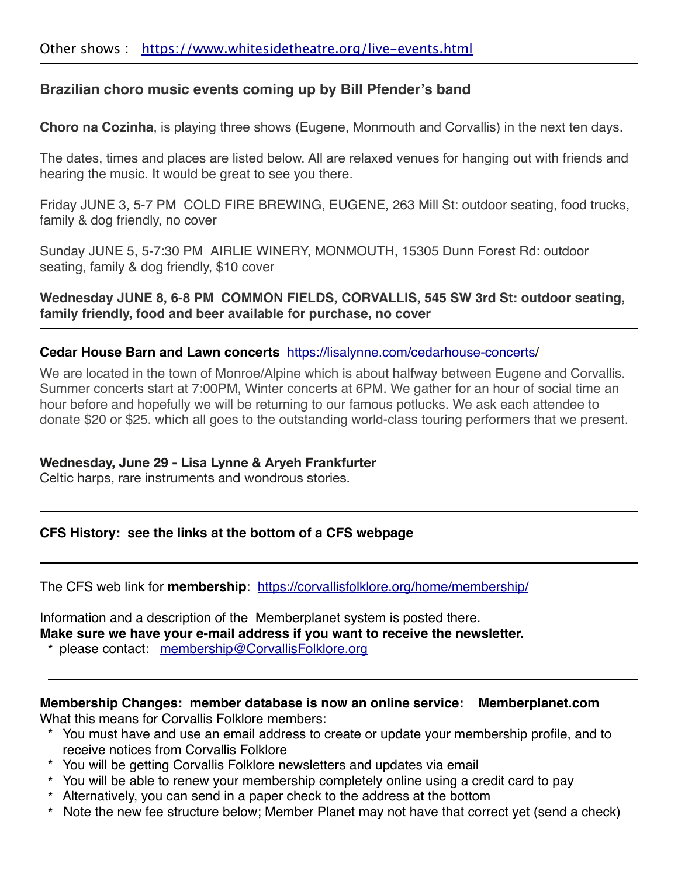## **Brazilian choro music events coming up by Bill Pfender's band**

**Choro na Cozinha**, is playing three shows (Eugene, Monmouth and Corvallis) in the next ten days.

The dates, times and places are listed below. All are relaxed venues for hanging out with friends and hearing the music. It would be great to see you there.

Friday JUNE 3, 5-7 PM COLD FIRE BREWING, EUGENE, 263 Mill St: outdoor seating, food trucks, family & dog friendly, no cover

Sunday JUNE 5, 5-7:30 PM AIRLIE WINERY, MONMOUTH, 15305 Dunn Forest Rd: outdoor seating, family & dog friendly, \$10 cover

**Wednesday JUNE 8, 6-8 PM COMMON FIELDS, CORVALLIS, 545 SW 3rd St: outdoor seating, family friendly, food and beer available for purchase, no cover** 

#### **Cedar House Barn and Lawn concerts** <https://lisalynne.com/cedarhouse-concerts/>

We are located in the town of Monroe/Alpine which is about halfway between Eugene and Corvallis. Summer concerts start at 7:00PM, Winter concerts at 6PM. We gather for an hour of social time an hour before and hopefully we will be returning to our famous potlucks. We ask each attendee to donate \$20 or \$25. which all goes to the outstanding world-class touring performers that we present.

## **Wednesday, June 29 - Lisa Lynne & Aryeh Frankfurter**

Celtic harps, rare instruments and wondrous stories.

## **CFS History: see the links at the bottom of a CFS webpage**

The CFS web link for **membership**: <https://corvallisfolklore.org/home/membership/>

Information and a description of the Memberplanet system is posted there. **Make sure we have your e-mail address if you want to receive the newsletter.** 

\* please contact: [membership@CorvallisFolklore.org](mailto:membership@CorvallisFolklore.org)

## **Membership Changes: member database is now an online service: Memberplanet.com**

What this means for Corvallis Folklore members:

- \* You must have and use an email address to create or update your membership profile, and to receive notices from Corvallis Folklore
- \* You will be getting Corvallis Folklore newsletters and updates via email
- \* You will be able to renew your membership completely online using a credit card to pay
- \* Alternatively, you can send in a paper check to the address at the bottom
- \* Note the new fee structure below; Member Planet may not have that correct yet (send a check)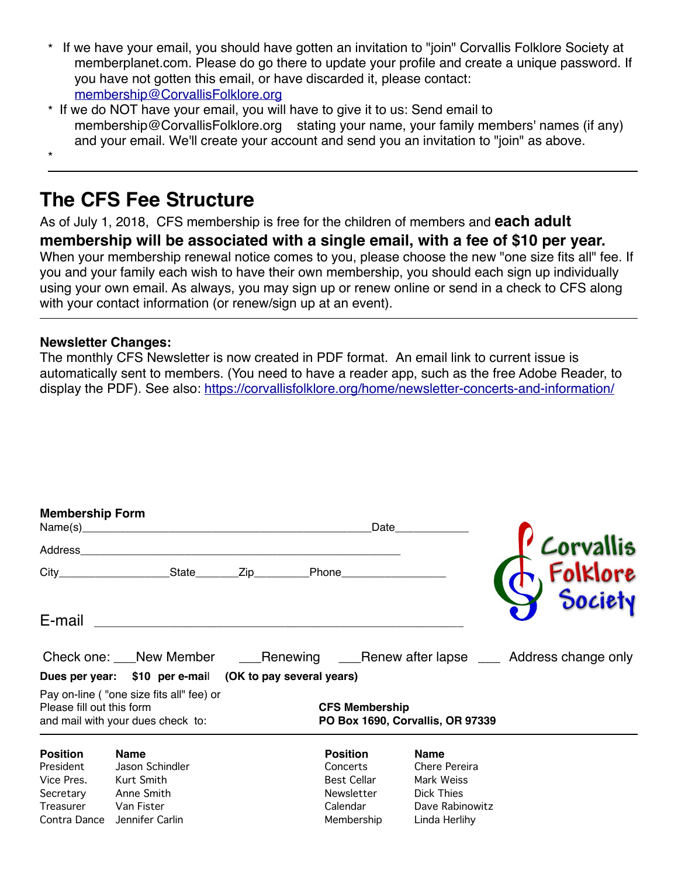- \* If we have your email, you should have gotten an invitation to "join" Corvallis Folklore Society at memberplanet.com. Please do go there to update your profile and create a unique password. If you have not gotten this email, or have discarded it, please contact: [membership@CorvallisFolklore.org](mailto:membership@CorvallisFolklore.org)
- \* If we do NOT have your email, you will have to give it to us: Send email to membership@CorvallisFolklore.org stating your name, your family members' names (if any) and your email. We'll create your account and send you an invitation to "join" as above.

\*

## **The CFS Fee Structure**

As of July 1, 2018, CFS membership is free for the children of members and **each adult membership will be associated with a single email, with a fee of \$10 per year.** When your membership renewal notice comes to you, please choose the new "one size fits all" fee. If you and your family each wish to have their own membership, you should each sign up individually using your own email. As always, you may sign up or renew online or send in a check to CFS along with your contact information (or renew/sign up at an event).

## **Newsletter Changes:**

The monthly CFS Newsletter is now created in PDF format. An email link to current issue is automatically sent to members. (You need to have a reader app, such as the free Adobe Reader, to display the PDF). See also: <https://corvallisfolklore.org/home/newsletter-concerts-and-information/>

| <b>Membership Form</b><br>Address                                                    |                                                                                             |                                                           | Date                                                                                      |                                                                                                     | <b>Corvallis</b>                                                                    |
|--------------------------------------------------------------------------------------|---------------------------------------------------------------------------------------------|-----------------------------------------------------------|-------------------------------------------------------------------------------------------|-----------------------------------------------------------------------------------------------------|-------------------------------------------------------------------------------------|
|                                                                                      |                                                                                             |                                                           |                                                                                           |                                                                                                     |                                                                                     |
| E-mail                                                                               |                                                                                             |                                                           |                                                                                           |                                                                                                     |                                                                                     |
|                                                                                      |                                                                                             |                                                           |                                                                                           |                                                                                                     | Check one: New Member 2010 Renewing 2012 Renew after lapse 2015 Address change only |
|                                                                                      | Dues per year: \$10 per e-mail (OK to pay several years)                                    |                                                           |                                                                                           |                                                                                                     |                                                                                     |
| Please fill out this form                                                            | Pay on-line ("one size fits all" fee) or<br>and mail with your dues check to:               | <b>CFS Membership</b><br>PO Box 1690, Corvallis, OR 97339 |                                                                                           |                                                                                                     |                                                                                     |
| <b>Position</b><br>President<br>Vice Pres.<br>Secretary<br>Treasurer<br>Contra Dance | <b>Name</b><br>Jason Schindler<br>Kurt Smith<br>Anne Smith<br>Van Fister<br>Jennifer Carlin |                                                           | <b>Position</b><br>Concerts<br><b>Best Cellar</b><br>Newsletter<br>Calendar<br>Membership | <b>Name</b><br>Chere Pereira<br>Mark Weiss<br><b>Dick Thies</b><br>Dave Rabinowitz<br>Linda Herlihy |                                                                                     |